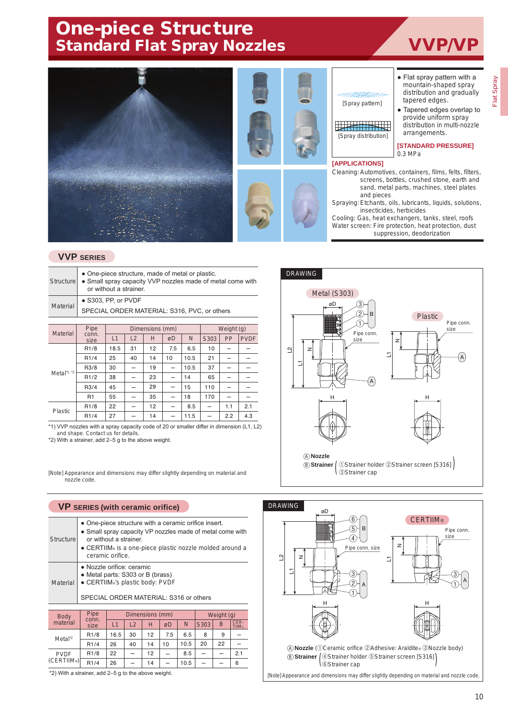# One-piece Structure Standard Flat Spray Nozzles **VVP/VP**







## [Spray pattern]

**THE REAL PROPERTY** [Spray distribution]

#### **[APPLICATIONS]**

- Flat spray pattern with a mountain-shaped spray distribution and gradually tapered edges.
- Tapered edges overlap to provide uniform spray distribution in multi-nozzle arrangements.

**[STANDARD PRESSURE]** 0.3 MPa

Cleaning: Automotives, containers, films, felts, filters, screens, bottles, crushed stone, earth and sand, metal parts, machines, steel plates and pieces

Spraying: Etchants, oils, lubricants, liquids, solutions, insecticides, herbicides

Cooling: Gas, heat exchangers, tanks, steel, roofs Water screen: Fire protection, heat protection, dust suppression, deodorization

## **VVP SERIES**

| <b>Structure</b> |               | • One-piece structure, made of metal or plastic.<br>• Small spray capacity VVP nozzles made of metal come with<br>or without a strainer. |    |                 |  |            |  |  |  |  |  |  |  |  |  |
|------------------|---------------|------------------------------------------------------------------------------------------------------------------------------------------|----|-----------------|--|------------|--|--|--|--|--|--|--|--|--|
| <b>Material</b>  |               | • S303, PP, or PVDF<br>SPECIAL ORDER MATERIAL: S316, PVC, or others                                                                      |    |                 |  |            |  |  |  |  |  |  |  |  |  |
|                  |               |                                                                                                                                          |    |                 |  |            |  |  |  |  |  |  |  |  |  |
| <b>Material</b>  | Pipe          |                                                                                                                                          |    | Dimensions (mm) |  | Weight (g) |  |  |  |  |  |  |  |  |  |
|                  | conn.<br>size | L1                                                                                                                                       | PP | <b>PVDF</b>     |  |            |  |  |  |  |  |  |  |  |  |

| <b>Material</b> | conn.<br>size    | L1   | L2 | H  | øD       | N    | S303 | PP  | <b>PVDF</b> |
|-----------------|------------------|------|----|----|----------|------|------|-----|-------------|
|                 | R <sub>1/8</sub> | 18.5 | 31 | 12 | 7.5      | 6.5  | 10   |     |             |
|                 | R1/4             | 25   | 40 | 14 | 10       | 10.5 | 21   |     |             |
|                 | R3/8             | 30   |    | 19 | $\equiv$ | 10.5 | 37   |     |             |
| Metal $1, 2$    | R1/2             | 38   | -  | 23 | $\equiv$ | 14   | 65   |     |             |
|                 | R3/4             | 45   |    | 29 | $\equiv$ | 15   | 110  |     |             |
|                 | R1               | 55   |    | 35 |          | 18   | 170  |     |             |
| Plastic         | R <sub>1/8</sub> | 22   |    | 12 |          | 8.5  |      | 1.1 | 2.1         |
|                 | R1/4             | 27   |    | 14 | -        | 11.5 |      | 2.2 | 4.3         |

\*1) VVP nozzles with a spray capacity code of 20 or smaller differ in dimension (L1, L2) and shape. Contact us for details.

\*2) With a strainer, add 2–5 g to the above weight.

[Note] Appearance and dimensions may differ slightly depending on material and nozzle code.

#### **VP SERIES (with ceramic orifice)**

| Structure   |      | • One-piece structure with a ceramic orifice insert.<br>• Small spray capacity VP nozzles made of metal come with<br>or without a strainer.<br>• CERTIIM® is a one-piece plastic nozzle molded around a<br>ceramic orifice. |            |
|-------------|------|-----------------------------------------------------------------------------------------------------------------------------------------------------------------------------------------------------------------------------|------------|
| Material    |      | · Nozzle orifice: ceramic<br>• Metal parts: S303 or B (brass)<br>• CERTIIM®'s plastic body: PVDF<br>SPECIAL ORDER MATERIAL: S316 or others                                                                                  |            |
|             |      |                                                                                                                                                                                                                             |            |
| <b>Rody</b> | Pipe | Dimensions (mm)                                                                                                                                                                                                             | Weight (g) |

| Body                    | Pipe             |      |    | Dimensions (mm) | Weight (g) |      |          |    |                       |
|-------------------------|------------------|------|----|-----------------|------------|------|----------|----|-----------------------|
| material                | conn.<br>size    |      | L2 | н               | øD         | N    | S303     | B  | CER-<br><b>TIIM</b> ® |
| Meta <sup>2</sup>       | R <sub>1/8</sub> | 16.5 | 30 | 12              | 7.5        | 6.5  | 8        | 9  |                       |
|                         | R1/4             | 26   | 40 | 14              | 10         | 10.5 | 20       | 22 |                       |
| <b>PVDF</b>             | R <sub>1/8</sub> | 22   |    | 12              |            | 8.5  | $\equiv$ |    | 2.1                   |
| (CERTIIM <sub>®</sub> ) | R1/4             | 26   |    | 14              |            | 10.5 |          |    | 6                     |

\*2) With a strainer, add 2–5 g to the above weight.



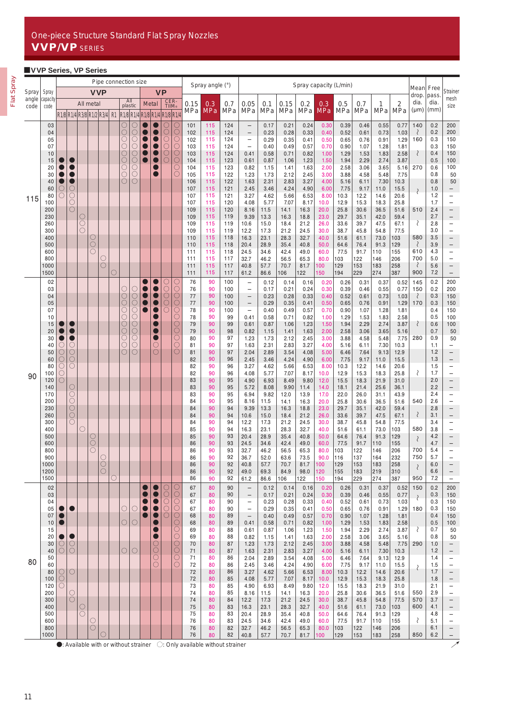# ■**VVP Series, VP Series**

|                |                   |                   | Pipe connection size     |                                          |              |                       |         |                |                          |                                                                                                       |                 |                 |                              |                                                                                                      | Spray angle (°) |            | Spray capacity (L/min)                        |              |              |              |                           |              |              |              | Mean                  | Free                        |               |                                               |
|----------------|-------------------|-------------------|--------------------------|------------------------------------------|--------------|-----------------------|---------|----------------|--------------------------|-------------------------------------------------------------------------------------------------------|-----------------|-----------------|------------------------------|------------------------------------------------------------------------------------------------------|-----------------|------------|-----------------------------------------------|--------------|--------------|--------------|---------------------------|--------------|--------------|--------------|-----------------------|-----------------------------|---------------|-----------------------------------------------|
| Spray<br>angle | Spray<br>capacity |                   |                          |                                          | <b>VVP</b>   |                       |         | All            |                          |                                                                                                       |                 | <b>VP</b>       |                              |                                                                                                      |                 |            |                                               |              |              |              |                           |              |              |              |                       | drop.<br>dia.               | pass.<br>dia. | Strainer<br>mesh                              |
| code           | code              |                   |                          | All metal<br>R1/8 R1/4 R3/8 R1/2 R3/4 R1 |              |                       |         |                | plastic                  | R <sub>1/8</sub> R <sub>1/4</sub> R <sub>1/8</sub> R <sub>1/4</sub> R <sub>1/8</sub> R <sub>1/4</sub> | <b>Metal</b>    | CER-<br>TIIM®   |                              | 0.15<br>MPa                                                                                          | 0.3<br>MPa      | 0.7<br>MPa | 0.05<br>MPa                                   | 0.1<br>MPa   | 0.15<br>MPa  | 0.2<br>MPa   | 0.3<br><b>MPa</b>         | 0.5<br>MPa   | 0.7<br>MPa   | 1<br>MPa     | $\overline{2}$<br>MPa | $(\mu m)$                   | (mm)          | size                                          |
|                | 03<br>04          |                   |                          |                                          |              |                       |         | O<br>О         | C<br>$\bigcirc$          |                                                                                                       |                 | $\bigcirc$      | C<br>$\circ$                 | 101<br>102                                                                                           | 115<br>115      | 124<br>124 | $\qquad \qquad -$<br>$\qquad \qquad -$        | 0.17<br>0.23 | 0.21<br>0.28 | 0.24<br>0.33 | 0.30<br>0.40              | 0.39<br>0.52 | 0.46<br>0.61 | 0.55<br>0.73 | 0.77<br>1.03          | 140<br>$\zeta$              | 0.2<br>0.2    | 200<br>200                                    |
|                | 05<br>07          |                   |                          |                                          |              |                       |         | С<br>С         | O<br>$\circ$             |                                                                                                       |                 | О<br>О          | $\overline{\mathbb{C}}$<br>С | 102<br>103                                                                                           | 115<br>115      | 124<br>124 | $\qquad \qquad -$<br>$\qquad \qquad -$        | 0.29<br>0.40 | 0.35<br>0.49 | 0.41<br>0.57 | 0.50<br>0.70              | 0.65<br>0.90 | 0.76<br>1.07 | 0.91<br>1.28 | 1.29<br>1.81          | 160                         | 0.3<br>0.3    | 150<br>150                                    |
|                | 10                |                   |                          |                                          |              |                       |         | O<br>C         | $\circ$<br>$\bigcirc$    |                                                                                                       |                 | О<br>О          | C<br>О                       | 103<br>104                                                                                           | 115             | 124        | 0.41<br>0.61                                  | 0.58         | 0.71         | 0.82         | 1.00                      | 1.29         | 1.53<br>2.29 | 1.83<br>2.74 | 2.58<br>3.87          | ₹                           | 0.4<br>0.5    | 150<br>100                                    |
|                | 15<br>20          |                   |                          |                                          |              |                       |         | С              | $\overline{\bigcirc}$    |                                                                                                       |                 |                 | C                            | 104                                                                                                  | 115<br>115      | 123<br>123 | 0.82                                          | 0.87<br>1.15 | 1.06<br>1.41 | 1.23<br>1.63 | 1.50<br>2.00              | 1.94<br>2.58 | 3.06         | 3.65         | 5.16                  | 270                         | 0.6           | 100                                           |
|                | 30<br>40          |                   |                          |                                          |              |                       |         | С<br>O         | $\circ$<br>$\circ$       |                                                                                                       |                 |                 | С                            | 105<br>106                                                                                           | 115<br>115      | 122<br>122 | 1.23<br>1.63                                  | 1.73<br>2.31 | 2.12<br>2.83 | 2.45<br>3.27 | 3.00<br>4.00              | 3.88<br>5.16 | 4.58<br>6.11 | 5.48<br>7.30 | 7.75<br>10.3          |                             | 0.8<br>0.8    | 50<br>50                                      |
|                | 60<br>80          | O                 | О<br>O                   |                                          |              |                       |         |                |                          |                                                                                                       |                 |                 |                              | 107<br>107                                                                                           | 115<br>115      | 121<br>121 | 2.45<br>3.27                                  | 3.46<br>4.62 | 4.24<br>5.66 | 4.90<br>6.53 | 6.00<br>8.00              | 7.75<br>10.3 | 9.17<br>12.2 | 11.0<br>14.6 | 15.5<br>20.6          | $\mathcal{S}_{\mathcal{S}}$ | 1.0<br>1.2    | $\overline{\phantom{0}}$<br>$\qquad \qquad -$ |
| 115            | 100<br>200        |                   | О<br>O                   |                                          |              |                       |         |                |                          |                                                                                                       |                 |                 |                              | 107<br>109                                                                                           | 115<br>115      | 120<br>120 | 4.08<br>8.16                                  | 5.77         | 7.07         | 8.17         | 10.0                      | 12.9<br>25.8 | 15.3<br>30.6 | 18.3         | 25.8                  | 510                         | 1.7<br>2.4    | $\qquad \qquad -$<br>$\qquad \qquad -$        |
|                | 230               |                   |                          | O                                        |              |                       |         |                |                          |                                                                                                       |                 |                 |                              | 109                                                                                                  | 115             | 119        | 9.39                                          | 11.5<br>13.3 | 14.1<br>16.3 | 16.3<br>18.8 | 20.0<br>23.0              | 29.7         | 35.1         | 36.5<br>42.0 | 51.6<br>59.4          |                             | 2.7           | -                                             |
|                | 260<br>300        |                   |                          | $\overline{C}$<br>C                      |              |                       |         |                |                          |                                                                                                       |                 |                 |                              | 109<br>109                                                                                           | 115<br>115      | 119<br>119 | 10.6<br>12.2                                  | 15.0<br>17.3 | 18.4<br>21.2 | 21.2<br>24.5 | 26.0<br>30.0              | 33.6<br>38.7 | 39.7<br>45.8 | 47.5<br>54.8 | 67.1<br>77.5          | ₹                           | 2.8<br>3.0    | $\qquad \qquad -$<br>$\qquad \qquad -$        |
|                | 400<br>500        |                   |                          |                                          | О<br>$\circ$ |                       |         |                |                          |                                                                                                       |                 |                 |                              | 110<br>110                                                                                           | 115<br>115      | 118<br>118 | 16.3<br>20.4                                  | 23.1<br>28.9 | 28.3<br>35.4 | 32.7<br>40.8 | 40.0<br>50.0              | 51.6<br>64.6 | 61.1<br>76.4 | 73.0<br>91.3 | 103<br>129            | 580<br>₹                    | 3.5<br>3.9    | $\qquad \qquad -$<br>-                        |
|                | 600<br>800        |                   |                          |                                          |              | C                     |         |                |                          |                                                                                                       |                 |                 |                              | 111<br>111                                                                                           | 115<br>115      | 118<br>117 | 24.5<br>32.7                                  | 34.6<br>46.2 | 42.4<br>56.5 | 49.0<br>65.3 | 60.0<br>80.0              | 77.5<br>103  | 91.7<br>122  | 110<br>146   | 155<br>206            | 610<br>700                  | 4.3<br>5.0    | $\qquad \qquad -$<br>$\overline{\phantom{0}}$ |
|                | 1000              |                   |                          |                                          |              | $\circ$               |         |                |                          |                                                                                                       |                 |                 |                              | 111                                                                                                  | 115             | 117        | 40.8                                          | 57.7         | 70.7         | 81.7         | 100                       | 129          | 153          | 183          | 258                   | ₹                           | 5.6           | $\qquad \qquad -$                             |
|                | 1500<br>02        |                   |                          |                                          |              |                       | О       |                |                          |                                                                                                       |                 | С               | С                            | 111<br>76                                                                                            | 115<br>90       | 117<br>100 | 61.2<br>$\qquad \qquad -$                     | 86.6<br>0.12 | 106<br>0.14  | 122<br>0.16  | 150<br>0.20               | 194<br>0.26  | 229<br>0.31  | 274<br>0.37  | 387<br>0.52           | 900<br>145                  | 7.2<br>0.2    | $\qquad \qquad -$<br>200                      |
|                | 03<br>04          |                   |                          |                                          |              |                       |         | O<br>О         | O<br>$\circlearrowright$ |                                                                                                       |                 | О<br>$\circ$    | $\subset$<br>О               | 76<br>77                                                                                             | 90<br>90        | 100<br>100 | $\overline{\phantom{0}}$<br>$\qquad \qquad -$ | 0.17<br>0.23 | 0.21<br>0.28 | 0.24<br>0.33 | 0.30<br>0.40              | 0.39<br>0.52 | 0.46<br>0.61 | 0.55<br>0.73 | 0.77<br>1.03          | 150<br>₹                    | 0.2<br>0.3    | 200<br>150                                    |
|                | 05                |                   |                          |                                          |              |                       |         | Ō              | Ō<br>$\circ$             |                                                                                                       |                 | C<br>С          | $\bigcirc$<br>С              | 77                                                                                                   | 90              | 100        | $\qquad \qquad -$                             | 0.29         | 0.35         | 0.41         | 0.50                      | 0.65         | 0.76         | 0.91         | 1.29                  | 170                         | 0.3<br>0.4    | 150                                           |
|                | 07<br>10          |                   |                          |                                          |              |                       |         | С<br>С         | $\bigcirc$               |                                                                                                       |                 |                 | C                            | 78<br>78                                                                                             | 90<br>90        | 100<br>99  | $\qquad \qquad -$<br>0.41                     | 0.40<br>0.58 | 0.49<br>0.71 | 0.57<br>0.82 | 0.70<br>1.00              | 0.90<br>1.29 | 1.07<br>1.53 | 1.28<br>1.83 | 1.81<br>2.58          |                             | 0.5           | 150<br>100                                    |
|                | 15<br>20          |                   |                          |                                          |              |                       |         | O<br>$\subset$ | OOO.                     |                                                                                                       |                 |                 | О<br>$\subset$               | 79<br>79                                                                                             | 90<br>90        | 99<br>98   | 0.61<br>0.82                                  | 0.87<br>1.15 | 1.06<br>1.41 | 1.23<br>1.63 | 1.50<br>2.00              | 1.94<br>2.58 | 2.29<br>3.06 | 2.74<br>3.65 | 3.87<br>5.16          | ₹                           | 0.6<br>0.7    | 100<br>50                                     |
|                | 30<br>40          | $\left(\ \right)$ | O                        |                                          |              |                       |         | С<br>C         | $\overline{O}$           |                                                                                                       | O               |                 | С<br>С                       | 80<br>81                                                                                             | 90<br>90        | 97<br>97   | 1.23<br>1.63                                  | 1.73<br>2.31 | 2.12<br>2.83 | 2.45<br>3.27 | 3.00<br>4.00              | 3.88<br>5.16 | 4.58<br>6.11 | 5.48<br>7.30 | 7.75<br>10.3          | 280                         | 0.9<br>1.1    | 50<br>$\overline{\phantom{0}}$                |
|                | 50<br>60          | O<br>O            | О<br>О                   |                                          |              |                       |         | О              | $\circ$                  |                                                                                                       | $\circ$         |                 | О                            | 81<br>82                                                                                             | 90<br>90        | 97<br>96   | 2.04<br>2.45                                  | 2.89<br>3.46 | 3.54<br>4.24 | 4.08<br>4.90 | 5.00<br>6.00              | 6.46<br>7.75 | 7.64<br>9.17 | 9.13<br>11.0 | 12.9<br>15.5          |                             | 1.2<br>1.3    | $\qquad \qquad -$<br>$\qquad \qquad -$        |
|                | 80                | O                 | О                        |                                          |              |                       |         |                |                          |                                                                                                       |                 |                 |                              | 82                                                                                                   | 90              | 96         | 3.27                                          | 4.62         | 5.66         | 6.53         | 8.00                      | 10.3         | 12.2         | 14.6         | 20.6                  | ₹                           | 1.5           | $\qquad \qquad -$                             |
| 90             | 100<br>120        | O<br>∩            |                          |                                          |              |                       |         |                |                          |                                                                                                       |                 |                 |                              | 82<br>83                                                                                             | 90<br>90        | 96<br>95   | 4.08<br>4.90                                  | 5.77<br>6.93 | 7.07<br>8.49 | 8.17<br>9.80 | 10.0<br>12.0              | 12.9<br>15.5 | 15.3<br>18.3 | 18.3<br>21.9 | 25.8<br>31.0          |                             | 1.7<br>2.0    | -<br>-                                        |
|                | 140<br>170        |                   | О<br>О                   |                                          |              |                       |         |                |                          |                                                                                                       |                 |                 |                              | 83<br>83                                                                                             | 90<br>90        | 95<br>95   | 5.72<br>6.94                                  | 8.08<br>9.82 | 9.90<br>12.0 | 11.4<br>13.9 | 14.0<br>17.0              | 18.1<br>22.0 | 21.4<br>26.0 | 25.6<br>31.1 | 36.1<br>43.9          |                             | 2.2<br>2.4    | $\qquad \qquad -$<br>-                        |
|                | 200<br>230        |                   | О<br>$\bigcirc$          |                                          |              |                       |         |                |                          |                                                                                                       |                 |                 |                              | 84<br>84                                                                                             | 90<br>90        | 95<br>94   | 8.16<br>9.39                                  | 11.5<br>13.3 | 14.1<br>16.3 | 16.3<br>18.8 | 20.0<br>23.0              | 25.8<br>29.7 | 30.6<br>35.1 | 36.5<br>42.0 | 51.6<br>59.4          | 540                         | 2.6<br>2.8    | $\overline{\phantom{0}}$<br>-                 |
|                | 260<br>300        |                   | $\bigcirc$<br>О          |                                          |              |                       |         |                |                          |                                                                                                       |                 |                 |                              | 84<br>84                                                                                             | 90<br>90        | 94<br>94   | 10.6<br>12.2                                  | 15.0<br>17.3 | 18.4<br>21.2 | 21.2<br>24.5 | 26.0<br>30.0              | 33.6<br>38.7 | 39.7<br>45.8 | 47.5<br>54.8 | 67.1<br>77.5          | $\langle$                   | 3.1<br>3.4    | $\qquad \qquad -$<br>-                        |
|                | 400<br>500        |                   |                          | O                                        | О            |                       |         |                |                          |                                                                                                       |                 |                 |                              | 85<br>85                                                                                             | 90<br>90        | 94<br>93   | 16.3<br>20.4                                  | 23.1<br>28.9 | 28.3<br>35.4 | 32.7<br>40.8 | 40.0<br>50.0              | 51.6<br>64.6 | 61.1<br>76.4 | 73.0<br>91.3 | 103<br>129            | 580                         | 3.8<br>4.2    | $\overline{\phantom{0}}$                      |
|                | 600               |                   |                          |                                          | O            |                       |         |                |                          |                                                                                                       |                 |                 |                              | 86                                                                                                   | 90              | 93         | 24.5                                          | 34.6         | 42.4         | 49.0         | 60.0                      | 77.5         | 91.7         | 110          | 155                   | $\langle$                   | 4.7           | $\overline{\phantom{0}}$                      |
|                | 800<br>900        |                   |                          |                                          | О            |                       |         |                |                          |                                                                                                       |                 |                 |                              | 86<br>86                                                                                             | 90<br>90        | 93<br>92   | 32.7<br>36.7                                  | 46.2<br>52.0 | 56.5<br>63.6 | 65.3<br>73.5 | 80.0<br>90.0              | 103<br>116   | 122<br>137   | 146<br>164   | 206<br>232            | 700<br>750                  | 5.4<br>5.7    | $\overline{\phantom{0}}$                      |
|                | 1000<br>1200      |                   |                          |                                          |              | $\circ$<br>$\bigcirc$ |         |                |                          |                                                                                                       |                 |                 |                              | 86<br>86                                                                                             | 90<br>90        | 92<br>92   | 40.8<br>49.0                                  | 57.7<br>69.3 | 70.7<br>84.9 | 81.7<br>98.0 | 100<br>120                | 129<br>155   | 153<br>183   | 183<br>219   | 258<br>310            |                             | 6.0<br>6.6    |                                               |
|                | 1500<br>02        |                   |                          |                                          |              |                       | $\circ$ |                |                          |                                                                                                       |                 | С               | С                            | 86<br>67                                                                                             | 90<br>80        | 92<br>90   | 61.2<br>$\qquad \qquad -$                     | 86.6<br>0.12 | 106<br>0.14  | 122<br>0.16  | 150<br>0.20               | 194<br>0.26  | 229<br>0.31  | 274<br>0.37  | 387<br>0.52           | 950<br>150                  | 7.2<br>0.2    | 200                                           |
|                | 03                |                   |                          |                                          |              |                       |         |                |                          |                                                                                                       |                 | $\bigcirc$<br>С | $\circ$                      | 67                                                                                                   | 80              | 90         | $\qquad \qquad -$                             | 0.17         | 0.21         | 0.24         | 0.30                      | 0.39         | 0.46         | 0.55         | 0.77                  | $\mathcal{E}$               | 0.3           | 150                                           |
|                | 04<br>05          |                   |                          |                                          |              |                       |         | О              | О                        |                                                                                                       |                 | О               | C<br>O                       | 67<br>67                                                                                             | 80<br>80        | 90<br>90   | $\qquad \qquad -$<br>$\qquad \qquad -$        | 0.23<br>0.29 | 0.28<br>0.35 | 0.33<br>0.41 | 0.40<br>0.50              | 0.52<br>0.65 | 0.61<br>0.76 | 0.73<br>0.91 | 1.03<br>1.29          | 180                         | 0.3<br>0.3    | 150<br>150                                    |
|                | 07<br>10          |                   |                          |                                          |              |                       |         | O              | $\bigcirc$               |                                                                                                       |                 | O               | О<br>С                       | 68<br>68                                                                                             | 80<br>80        | 89<br>89   | $\qquad \qquad -$<br>0.41                     | 0.40<br>0.58 | 0.49<br>0.71 | 0.57<br>0.82 | 0.70<br>1.00              | 0.90<br>1.29 | 1.07<br>1.53 | 1.28<br>1.83 | 1.81<br>2.58          |                             | 0.4<br>0.5    | 150<br>100                                    |
|                | 15<br>20          |                   |                          |                                          |              |                       |         |                |                          |                                                                                                       |                 |                 | С<br>О                       | 69<br>69                                                                                             | 80<br>80        | 88<br>88   | 0.61<br>0.82                                  | 0.87<br>1.15 | 1.06<br>1.41 | 1.23<br>1.63 | 1.50<br>2.00              | 1.94<br>2.58 | 2.29<br>3.06 | 2.74<br>3.65 | 3.87<br>5.16          | ₹                           | 0.7<br>0.8    | 50<br>50                                      |
|                | 30<br>40          | О<br>О            | О<br>О                   |                                          |              |                       |         | O              | $\bigcirc$               |                                                                                                       | О<br>$\bigcirc$ |                 | $\circ$<br>О                 | 70<br>71                                                                                             | 80<br>80        | 87<br>87   | 1.23<br>1.63                                  | 1.73<br>2.31 | 2.12<br>2.83 | 2.45<br>3.27 | 3.00<br>4.00              | 3.88<br>5.16 | 4.58<br>6.11 | 5.48<br>7.30 | 7.75<br>10.3          | 290                         | 1.0<br>1.2    | -<br>-                                        |
| 80             | 50                |                   |                          |                                          |              |                       |         |                |                          |                                                                                                       | O               |                 | С                            | 71                                                                                                   | 80              | 86         | 2.04                                          | 2.89         | 3.54         | 4.08         | 5.00                      | 6.46         | 7.64         | 9.13         | 12.9                  |                             | 1.4           | -                                             |
|                | 60<br>80          | О                 | $\circlearrowright$      |                                          |              |                       |         |                |                          |                                                                                                       | O               |                 | O                            | 72<br>72                                                                                             | 80<br>80        | 86<br>86   | 2.45<br>3.27                                  | 3.46<br>4.62 | 4.24<br>5.66 | 4.90<br>6.53 | 6.00<br>8.00              | 7.75<br>10.3 | 9.17<br>12.2 | 11.0<br>14.6 | 15.5<br>20.6          | ₹                           | 1.5<br>1.7    | $\overline{\phantom{0}}$                      |
|                | 100<br>120        | $\circ$<br>O      |                          |                                          |              |                       |         |                |                          |                                                                                                       |                 |                 |                              | 72<br>73                                                                                             | 80<br>80        | 85<br>85   | 4.08<br>4.90                                  | 5.77<br>6.93 | 7.07<br>8.49 | 8.17<br>9.80 | 10.0 <sub>1</sub><br>12.0 | 12.9<br>15.5 | 15.3<br>18.3 | 18.3<br>21.9 | 25.8<br>31.0          |                             | 1.8<br>2.1    | -<br>-                                        |
|                | 200<br>300        |                   | O<br>$\circlearrowright$ |                                          |              |                       |         |                |                          |                                                                                                       |                 |                 |                              | 74<br>74                                                                                             | 80<br>80        | 85<br>84   | 8.16<br>12.2                                  | 11.5<br>17.3 | 14.1<br>21.2 | 16.3<br>24.5 | 20.0<br>30.0              | 25.8<br>38.7 | 30.6<br>45.8 | 36.5<br>54.8 | 51.6<br>77.5          | 550<br>570                  | 2.9<br>3.7    | $\qquad \qquad -$<br>-                        |
|                | 400<br>500        |                   |                          | $\circ$                                  |              |                       |         |                |                          |                                                                                                       |                 |                 |                              | 75<br>75                                                                                             | 80<br>80        | 83<br>83   | 16.3<br>20.4                                  | 23.1<br>28.9 | 28.3<br>35.4 | 32.7<br>40.8 | 40.0<br>50.0              | 51.6<br>64.6 | 61.1<br>76.4 | 73.0<br>91.3 | 103<br>129            | 600                         | 4.1<br>4.8    | $\qquad \qquad -$<br>-                        |
|                | 600               |                   |                          |                                          | O<br>О       |                       |         |                |                          |                                                                                                       |                 |                 |                              | 76                                                                                                   | 80              | 83         | 24.5                                          | 34.6         | 42.4         | 49.0         | 60.0                      | 77.5         | 91.7         | 110          | 155                   | ₹                           | 5.1           | $\qquad \qquad -$                             |
|                | 800<br>1000       |                   |                          |                                          |              |                       |         |                |                          |                                                                                                       |                 |                 |                              | 76<br>76                                                                                             | 80<br>80        | 82<br>82   | 32.7<br>40.8                                  | 46.2<br>57.7 | 56.5<br>70.7 | 65.3<br>81.7 | 80.0<br>100               | 103<br>129   | 122<br>153   | 146<br>183   | 206<br>258            | 850                         | 6.1<br>6.2    | $\qquad \qquad -$<br>$\overline{\phantom{a}}$ |
|                |                   |                   |                          |                                          |              |                       |         |                |                          |                                                                                                       |                 |                 |                              | $\bullet$ : Available with or without strainer $\circlearrowright$ : Only available without strainer |                 |            |                                               |              |              |              |                           |              |              |              |                       |                             |               | ↗                                             |

11 and the contract of the contract of the contract of the contract of the contract of the contract of the contract of the contract of the contract of the contract of the contract of the contract of the contract of the con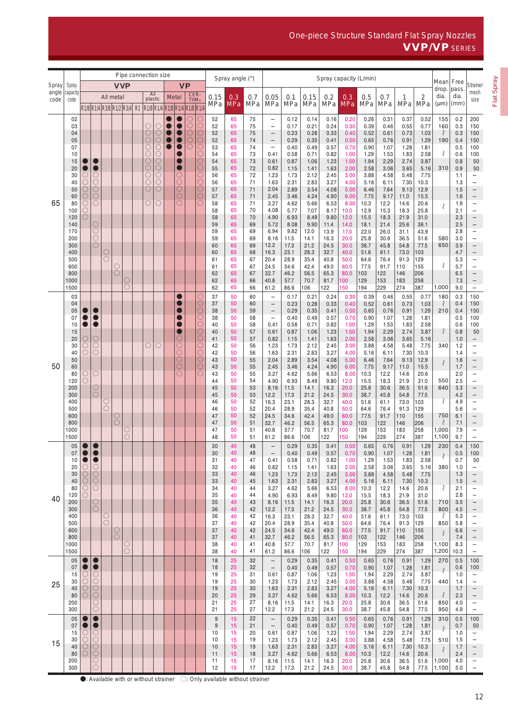One-piece Structure Standard Flat Spray Nozzles VVP/VP SERIES

|                |                   | Pipe connection size |                                                                                                          |        |            |   |  |                                   |                          |                               |                                     |               |                       |                | Spray angle (°)   |                                                                                             | Spray capacity (L/min)                        |              |              |              |                   |              |              |                     | Mean         | Free                        |              |                                        |
|----------------|-------------------|----------------------|----------------------------------------------------------------------------------------------------------|--------|------------|---|--|-----------------------------------|--------------------------|-------------------------------|-------------------------------------|---------------|-----------------------|----------------|-------------------|---------------------------------------------------------------------------------------------|-----------------------------------------------|--------------|--------------|--------------|-------------------|--------------|--------------|---------------------|--------------|-----------------------------|--------------|----------------------------------------|
| Spray<br>angle | Spray<br>capacity |                      |                                                                                                          |        | <b>VVP</b> |   |  | All                               |                          |                               | <b>VP</b>                           |               |                       |                |                   |                                                                                             |                                               |              |              |              |                   |              |              |                     |              | drop.                       | pass.        | Strainer<br>mesh                       |
| code           | code              |                      |                                                                                                          |        | All metal  |   |  | plastic                           |                          | Metal                         |                                     | CER-<br>TIIM® |                       | 0.15<br>MPa    | 0.3<br><b>MPa</b> | 0.7<br>MPa                                                                                  | 0.05<br>MPa                                   | 0.1<br>MPa   | 0.15<br>MPa  | 0.2<br>MPa   | 0.3<br><b>MPa</b> | 0.5<br>MPa   | 0.7<br>MPa   | $\mathbf{1}$<br>MPa | 2<br>MPa     | dia.<br>$(\mu m)$           | dia.<br>(mm) | size                                   |
|                | 02                |                      | R <sub>1</sub> /8 R <sub>1</sub> /4 R <sub>3</sub> /8 R <sub>1</sub> /2 R <sub>3</sub> /4 R <sub>1</sub> |        |            |   |  |                                   |                          | R1/8 R1/4 R1/8 R1/4 R1/8 R1/4 |                                     |               | С                     | 52             | 65                | 75                                                                                          | $\qquad \qquad -$                             | 0.12         | 0.14         | 0.16         | 0.20              | 0.26         | 0.31         | 0.37                | 0.52         | 155                         | 0.2          | 200                                    |
|                | 03                |                      |                                                                                                          |        |            |   |  | О                                 | O                        |                               |                                     | С             |                       | 52             | 65                | 75                                                                                          | $\qquad \qquad -$                             | 0.17         | 0.21         | 0.24         | 0.30              | 0.39         | 0.46         | 0.55                | 0.77         | 160                         | 0.3          | 150                                    |
|                | 04<br>05          |                      |                                                                                                          |        |            |   |  | $\bigcirc$<br>Ō                   | O<br>О                   |                               |                                     | O<br>Ō        | OOO                   | 52<br>52       | 65<br>65          | 75<br>74                                                                                    | $\qquad \qquad -$<br>$\qquad \qquad -$        | 0.23<br>0.29 | 0.28<br>0.35 | 0.33<br>0.41 | 0.40<br>0.50      | 0.52<br>0.65 | 0.61<br>0.76 | 0.73<br>0.91        | 1.03<br>1.29 | ₹<br>190                    | 0.3<br>0.4   | 150<br>150                             |
|                | 07                |                      |                                                                                                          |        |            |   |  | $\circlearrowright$               | О                        |                               | Ð                                   |               | $\overline{\bigcirc}$ | 53             | 65                | 74                                                                                          | $\overline{\phantom{m}}$                      | 0.40         | 0.49         | 0.57         | 0.70              | 0.90         | 1.07         | 1.28                | 1.81         |                             | 0.5          | 100                                    |
|                | 10<br>15          |                      |                                                                                                          |        |            |   |  | $\bigcirc$<br>$\circlearrowright$ | О<br>$\circlearrowright$ |                               |                                     |               |                       | 54<br>54       | 65<br>65          | 73<br>73                                                                                    | 0.41<br>0.61                                  | 0.58<br>0.87 | 0.71<br>1.06 | 0.82<br>1.23 | 1.00<br>1.50      | 1.29<br>1.94 | 1.53<br>2.29 | 1.83<br>2.74        | 2.58<br>3.87 | ₹                           | 0.6<br>0.8   | 100<br>50                              |
|                | 20                |                      | $\bullet$                                                                                                |        |            |   |  | Ō                                 | $\bigcirc$               |                               | 0                                   |               |                       | 55             | 65                | 72                                                                                          | 0.82                                          | 1.15         | 1.41         | 1.63         | 2.00              | 2.58         | 3.06         | 3.65                | 5.16         | 310                         | 0.9          | 50                                     |
|                | 30<br>40          | C<br>O               | O<br>$\circ$                                                                                             |        |            |   |  | О<br>О                            | O<br>O                   |                               | О<br>О                              |               | 000000                | 56<br>56       | 65<br>65          | 72<br>71                                                                                    | 1.23<br>1.63                                  | 1.73<br>2.31 | 2.12<br>2.83 | 2.45<br>3.27 | 3.00<br>4.00      | 3.88<br>5.16 | 4.58<br>6.11 | 5.48<br>7.30        | 7.75<br>10.3 |                             | 1.1<br>1.3   | -<br>$\qquad \qquad -$                 |
|                | 50<br>60          | O<br>O               | $\circ$<br>$\overline{O}$                                                                                |        |            |   |  | $\circlearrowright$               | O                        |                               | $\circlearrowright$<br>$\circ$      |               |                       | 57<br>57       | 65<br>65          | 71<br>71                                                                                    | 2.04<br>2.45                                  | 2.89<br>3.46 | 3.54<br>4.24 | 4.08<br>4.90 | 5.00<br>6.00      | 6.46<br>7.75 | 7.64<br>9.17 | 9.13<br>11.0        | 12.9<br>15.5 |                             | 1.5<br>1.6   | $\qquad \qquad -$<br>$\qquad \qquad -$ |
| 65             | 80                | O                    | $\bigcirc$                                                                                               |        |            |   |  | C                                 | C                        |                               | О                                   |               |                       | 58             | 65                | 71                                                                                          | 3.27                                          | 4.62         | 5.66         | 6.53         | 8.00              | 10.3         | 12.2         | 14.6                | 20.6         | $\mathcal{S}_{\mathcal{S}}$ | 1.9          | $\qquad \qquad -$                      |
|                | 100<br>120        | O<br>O               |                                                                                                          |        |            |   |  |                                   |                          |                               |                                     |               |                       | 58<br>58       | 65<br>65          | 70<br>70                                                                                    | 4.08<br>4.90                                  | 5.77<br>6.93 | 7.07<br>8.49 | 8.17<br>9.80 | 10.0<br>12.0      | 12.9<br>15.5 | 15.3<br>18.3 | 18.3<br>21.9        | 25.8<br>31.0 |                             | 2.1<br>2.3   | $\qquad \qquad -$<br>$\qquad \qquad -$ |
|                | 140               |                      | O                                                                                                        |        |            |   |  |                                   |                          |                               |                                     |               |                       | 59             | 65                | 69                                                                                          | 5.72                                          | 8.08         | 9.90         | 11.4         | 14.0              | 18.1         | 21.4         | 25.6                | 36.1         |                             | 2.5          | $\qquad \qquad -$                      |
|                | 170<br>200        |                      | $\circlearrowright$<br>$\frac{0}{0}$                                                                     |        |            |   |  |                                   |                          |                               |                                     |               |                       | 59<br>59       | 65<br>65          | 69<br>69                                                                                    | 6.94<br>8.16                                  | 9.82<br>11.5 | 12.0<br>14.1 | 13.9<br>16.3 | 17.0<br>20.0      | 22.0<br>25.8 | 26.0<br>30.6 | 31.1<br>36.5        | 43.9<br>51.6 | 580                         | 2.8<br>3.0   | $\qquad \qquad -$<br>$\qquad \qquad -$ |
|                | 300<br>400        |                      |                                                                                                          | O      |            |   |  |                                   |                          |                               |                                     |               |                       | 60<br>60       | 65<br>65          | 69<br>68                                                                                    | 12.2<br>16.3                                  | 17.3         | 21.2<br>28.3 | 24.5<br>32.7 | 30.0<br>40.0      | 38.7<br>51.6 | 45.8<br>61.1 | 54.8<br>73.0        | 77.5<br>103  | 650                         | 3.9<br>4.7   | $\qquad \qquad -$                      |
|                | 500               |                      |                                                                                                          | O      |            |   |  |                                   |                          |                               |                                     |               |                       | 61             | 65                | 67                                                                                          | 20.4                                          | 23.1<br>28.9 | 35.4         | 40.8         | 50.0              | 64.6         | 76.4         | 91.3                | 129          |                             | 5.3          | $\qquad \qquad -$<br>$\qquad \qquad -$ |
|                | 600<br>800        |                      |                                                                                                          |        | С<br>Ω     |   |  |                                   |                          |                               |                                     |               |                       | 61<br>62       | 65<br>65          | 67<br>67                                                                                    | 24.5<br>32.7                                  | 34.6<br>46.2 | 42.4<br>56.5 | 49.0<br>65.3 | 60.0<br>80.0      | 77.5<br>103  | 91.7<br>122  | 110<br>146          | 155<br>206   | ₹                           | 5.7<br>6.5   | $\qquad \qquad -$                      |
|                | 1000              |                      |                                                                                                          |        |            | С |  |                                   |                          |                               |                                     |               |                       | 62             | 65                | 66                                                                                          | 40.8                                          | 57.7         | 70.7         | 81.7         | 100               | 129          | 153          | 183                 | 258          |                             | 7.3          | -                                      |
|                | 1500<br>03        |                      |                                                                                                          |        |            | С |  |                                   |                          |                               |                                     |               | О                     | 62<br>37       | 65<br>50          | 66<br>60                                                                                    | 61.2<br>$\qquad \qquad -$                     | 86.6<br>0.17 | 106<br>0.21  | 122<br>0.24  | 150<br>0.30       | 194<br>0.39  | 229<br>0.46  | 274<br>0.55         | 387<br>0.77  | 1,000<br>180                | 9.0<br>0.3   | -<br>150                               |
|                | 04                |                      |                                                                                                          |        |            |   |  |                                   |                          |                               |                                     |               |                       | 37             | 50                | 60                                                                                          | $\qquad \qquad -$                             | 0.23         | 0.28         | 0.33         | 0.40              | 0.52         | 0.61         | 0.73                | 1.03         | ₹                           | 0.4          | 150                                    |
|                | 05<br>07          |                      |                                                                                                          |        |            |   |  |                                   |                          |                               |                                     |               | oooo                  | 38<br>38       | 50<br>50          | 59<br>58                                                                                    | $\qquad \qquad -$<br>$\qquad \qquad -$        | 0.29<br>0.40 | 0.35<br>0.49 | 0.41<br>0.57 | 0.50<br>0.70      | 0.65<br>0.90 | 0.76<br>1.07 | 0.91<br>1.28        | 1.29<br>1.81 | 210                         | 0.4<br>0.5   | 150<br>100                             |
|                | 10                |                      |                                                                                                          |        |            |   |  |                                   |                          |                               |                                     |               |                       | 40             | 50<br>50          | 58<br>57                                                                                    | 0.41                                          | 0.58         | 0.71         | 0.82         | 1.00              | 1.29         | 1.53         | 1.83                | 2.58         |                             | 0.6          | 100                                    |
|                | 15<br>20          |                      | $\circ$                                                                                                  |        |            |   |  |                                   |                          |                               | С                                   |               |                       | 40<br>41       | 50                | 57                                                                                          | 0.61<br>0.82                                  | 0.87<br>1.15 | 1.06<br>1.41 | 1.23<br>1.63 | 1.50<br>2.00      | 1.94<br>2.58 | 2.29<br>3.06 | 2.74<br>3.65        | 3.87<br>5.16 |                             | 0.8<br>1.0   | 50<br>$\qquad \qquad -$                |
|                | 30<br>40          | O<br>O               | $\circ$<br>$\circ$                                                                                       |        |            |   |  |                                   | C                        |                               | $\overline{\bigcirc}$<br>$\bigcirc$ |               | OOOO                  | 42<br>42       | 50<br>50          | 56<br>56                                                                                    | 1.23<br>1.63                                  | 1.73<br>2.31 | 2.12<br>2.83 | 2.45<br>3.27 | 3.00<br>4.00      | 3.88<br>5.16 | 4.58<br>6.11 | 5.48<br>7.30        | 7.75<br>10.3 | 340                         | 1.2<br>1.4   | $\qquad \qquad -$<br>$\qquad \qquad -$ |
|                | 50                |                      |                                                                                                          |        |            |   |  |                                   |                          |                               | $\bigcirc$                          |               | $\overline{\text{O}}$ | 43             | 50                | 55                                                                                          | 2.04                                          | 2.89         | 3.54         | 4.08         | 5.00              | 6.46         | 7.64         | 9.13                | 12.9         | $\langle$                   | 1.6          | $\qquad \qquad -$                      |
| 50             | 60<br>80          | O                    | $\circ$                                                                                                  |        |            |   |  |                                   |                          |                               | $\circ$<br>Ō                        |               |                       | 43<br>43       | 50<br>50          | 55<br>55                                                                                    | 2.45<br>3.27                                  | 3.46<br>4.62 | 4.24<br>5.66 | 4.90<br>6.53 | 6.00<br>8.00      | 7.75<br>10.3 | 9.17<br>12.2 | 11.0<br>14.6        | 15.5<br>20.6 |                             | 1.7<br>2.0   | $\qquad \qquad -$<br>$\qquad \qquad -$ |
|                | 120<br>200        | 0                    | $\circ$                                                                                                  |        |            |   |  |                                   |                          |                               |                                     |               |                       | 44<br>45       | 50<br>50          | 54<br>53                                                                                    | 4.90<br>8.16                                  | 6.93<br>11.5 | 8.49<br>14.1 | 9.80<br>16.3 | 12.0<br>20.0      | 15.5<br>25.8 | 18.3<br>30.6 | 21.9<br>36.5        | 31.0<br>51.6 | 550<br>640                  | 2.5<br>3.3   | $\qquad \qquad -$<br>$\qquad \qquad -$ |
|                | 300               |                      | $\circ$                                                                                                  |        |            |   |  |                                   |                          |                               |                                     |               |                       | 45             | 50                | 53                                                                                          | 12.2                                          | 17.3         | 21.2         | 24.5         | 30.0              | 38.7         | 45.8         | 54.8                | 77.5         |                             | 4.2          | $\qquad \qquad -$                      |
|                | 400<br>500        |                      |                                                                                                          | O<br>O |            |   |  |                                   |                          |                               |                                     |               |                       | 46<br>46       | 50<br>50          | 52<br>52                                                                                    | 16.3<br>20.4                                  | 23.1<br>28.9 | 28.3<br>35.4 | 32.7<br>40.8 | 40.0<br>50.0      | 51.6<br>64.6 | 61.1<br>76.4 | 73.0<br>91.3        | 103<br>129   | ₹                           | 4.9<br>5.6   | $\qquad \qquad -$<br>$\qquad \qquad -$ |
|                | 600               |                      |                                                                                                          |        | C          |   |  |                                   |                          |                               |                                     |               |                       | 47             | 50                | 52                                                                                          | 24.5                                          | 34.6         | 42.4         | 49.0         | 60.0              | 77.5         | 91.7         | 110                 | 155          | 750                         | 6.1          | $\qquad \qquad -$                      |
|                | 800<br>1000       |                      |                                                                                                          |        | С          | C |  |                                   |                          |                               |                                     |               |                       | 47<br>47       | 50<br>50          | 51<br>51                                                                                    | 32.7<br>40.8                                  | 46.2<br>57.7 | 56.5<br>70.7 | 65.3<br>81.7 | 80.0<br>100       | 103<br>129   | 122<br>153   | 146<br>183          | 206<br>258   | ₹<br>1,000                  | 7.1<br>7.9   | $\qquad \qquad -$<br>$\qquad \qquad -$ |
|                | 1500              |                      |                                                                                                          |        |            | O |  |                                   |                          |                               |                                     |               |                       | 48             | 50                | 51                                                                                          | 61.2                                          | 86.6         | 06           | 122          | 50                | 194          | 229          | 274                 | 387          | 1,100                       | 9.7          | $\qquad \qquad -$                      |
|                | 05<br>07          |                      | $\bullet$                                                                                                |        |            |   |  |                                   |                          |                               |                                     |               |                       | 30<br>30       | 40<br>40          | 48<br>48                                                                                    |                                               | 0.29<br>0.40 | 0.35<br>0.49 | 0.41<br>0.57 | 0.50<br>0.70      | 0.65<br>0.90 | 0.76<br>1.07 | 0.91<br>1.28        | 1.29<br>1.81 | 230                         | 0.4<br>0.5   | 150<br>100                             |
|                | 10<br>20          |                      | $\bullet$<br>O                                                                                           |        |            |   |  |                                   |                          |                               |                                     |               |                       | 31<br>32       | 40<br>40          | 47<br>46                                                                                    | 0.41<br>0.82                                  | 0.58<br>1.15 | 0.71<br>1.41 | 0.82<br>1.63 | 1.00<br>2.00      | 1.29<br>2.58 | 1.53<br>3.06 | 1.83<br>3.65        | 2.58<br>5.16 | 380                         | 0.7<br>1.0   | 50<br>-                                |
|                | 30                | O<br>O               | O                                                                                                        |        |            |   |  |                                   |                          |                               |                                     |               |                       | 33             | 40                | 46                                                                                          | 1.23                                          | 1.73         | 2.12         | 2.45         | 3.00              | 3.88         | 4.58         | 5.48                | 7.75         |                             | 1.3          |                                        |
|                | 40<br>80          | O<br>O               | $\circ$<br>O                                                                                             |        |            |   |  |                                   |                          |                               |                                     |               |                       | 33<br>34       | 40<br>40          | 45<br>44                                                                                    | 1.63<br>3.27                                  | 2.31<br>4.62 | 2.83<br>5.66 | 3.27<br>6.53 | 4.00<br>8.00      | 5.16<br>10.3 | 6.11<br>12.2 | 7.30<br>14.6        | 10.3<br>20.6 | ₹                           | 1.5<br>2.1   |                                        |
| 40             | 120               | $\left(\ \right)$    |                                                                                                          |        |            |   |  |                                   |                          |                               |                                     |               |                       | 35             | 40                | 44                                                                                          | 4.90                                          | 6.93         | 8.49         | 9.80         | 12.0              | 15.5         | 18.3         | 21.9                | 31.0         |                             | 2.8          | $\overline{\phantom{0}}$               |
|                | 200<br>300        |                      | $\circ$<br>$\circ$                                                                                       |        |            |   |  |                                   |                          |                               |                                     |               |                       | 35<br>36       | 40<br>40          | 43<br>42                                                                                    | 8.16<br>12.2                                  | 11.5<br>17.3 | 14.1<br>21.2 | 16.3<br>24.5 | 20.0<br>30.0      | 25.8<br>38.7 | 30.6<br>45.8 | 36.5<br>54.8        | 51.6<br>77.5 | 710<br>800                  | 3.5<br>4.5   |                                        |
|                | 400<br>500        |                      |                                                                                                          | O<br>О |            |   |  |                                   |                          |                               |                                     |               |                       | 36<br>37       | 40<br>40          | 42<br>42                                                                                    | 16.3<br>20.4                                  | 23.1<br>28.9 | 28.3<br>35.4 | 32.7<br>40.8 | 40.0<br>50.0      | 51.6<br>64.6 | 61.1<br>76.4 | 73.0<br>91.3        | 103<br>129   | ₹<br>850                    | 5.3<br>5.8   | -<br>-                                 |
|                | 600               |                      |                                                                                                          |        | O          |   |  |                                   |                          |                               |                                     |               |                       | 37             | 40                | 42                                                                                          | 24.5                                          | 34.6         | 42.4         | 49.0         | 60.0              | 77.5         | 91.7         | 110                 | 155          |                             | 6.6          |                                        |
|                | 800<br>1000       |                      |                                                                                                          |        | $\circ$    | C |  |                                   |                          |                               |                                     |               |                       | 37<br>38       | 40<br>40          | 41<br>41                                                                                    | 32.7<br>40.8                                  | 46.2<br>57.7 | 56.5<br>70.7 | 65.3<br>81.7 | 80.0<br>100       | 103<br>129   | 122<br>153   | 146<br>183          | 206<br>258   | 1,100                       | 7.4<br>8.3   | -                                      |
|                | 1500              |                      |                                                                                                          |        |            | O |  |                                   |                          |                               |                                     |               |                       | 38             | 40                | 41                                                                                          | 61.2                                          | 86.6         | 106          | 122          | 150               | 194          | 229          | 274                 | 387          | 1,200                       | 10.3         | -                                      |
|                | 05<br>07          |                      | $\bullet$                                                                                                |        |            |   |  |                                   |                          |                               |                                     |               |                       | 18<br>18       | 25<br>25          | 32<br>32                                                                                    | $\qquad \qquad -$<br>$\qquad \qquad -$        | 0.29<br>0.40 | 0.35<br>0.49 | 0.41<br>0.57 | 0.50<br>0.70      | 0.65<br>0.90 | 0.76<br>1.07 | 0.91<br>1.28        | 1.29<br>1.81 | 270                         | 0.5<br>0.6   | 100<br>100                             |
|                | 15<br>30          | O<br>O               | O<br>O                                                                                                   |        |            |   |  |                                   |                          |                               |                                     |               |                       | 19<br>19       | 25<br>25          | 31<br>30                                                                                    | 0.61<br>1.23                                  | 0.87<br>1.73 | 1.06<br>2.12 | 1.23<br>2.45 | 1.50<br>3.00      | 1.94<br>3.88 | 2.29<br>4.58 | 2.74<br>5.48        | 3.87<br>7.75 | ₹<br>440                    | 1.0<br>1.4   | $\qquad \qquad -$<br>$\qquad \qquad -$ |
| 25             | 40                | O                    | O                                                                                                        |        |            |   |  |                                   |                          |                               |                                     |               |                       | 19             | 25                | 30                                                                                          | 1.63                                          | 2.31         | 2.83         | 3.27         | 4.00              | 5.16         | 6.11         | 7.30                | 10.3         |                             | 1.7          | $\qquad \qquad -$                      |
|                | 80<br>200         | O                    | $\circ$<br>$\circ$                                                                                       |        |            |   |  |                                   |                          |                               |                                     |               |                       | 20<br>21       | 25<br>25          | 29<br>27                                                                                    | 3.27<br>8.16                                  | 4.62<br>11.5 | 5.66<br>14.1 | 6.53<br>16.3 | 8.00<br>20.0      | 10.3<br>25.8 | 12.2<br>30.6 | 14.6<br>36.5        | 20.6<br>51.6 | ₹<br>850                    | 2.3<br>4.0   | -<br>-                                 |
|                | 300               |                      | O                                                                                                        |        |            |   |  |                                   |                          |                               |                                     |               |                       | 21             | 25                | 27                                                                                          | 12.2                                          | 17.3         | 21.2         | 24.5         | 30.0              | 38.7         | 45.8         | 54.8                | 77.5         | 950                         | 4.9          | -                                      |
|                | 05<br>07          |                      | $\bullet$                                                                                                |        |            |   |  |                                   |                          |                               |                                     |               |                       | $9\,$<br>$9\,$ | 15<br>15          | 22<br>21                                                                                    | $\qquad \qquad -$<br>$\overline{\phantom{m}}$ | 0.29<br>0.40 | 0.35<br>0.49 | 0.41<br>0.57 | 0.50<br>0.70      | 0.65<br>0.90 | 0.76<br>1.07 | 0.91<br>1.28        | 1.29<br>1.81 | 310                         | 0.5<br>0.7   | 100<br>50                              |
|                | 15                | O                    | O                                                                                                        |        |            |   |  |                                   |                          |                               |                                     |               |                       | 10             | 15                | 20                                                                                          | 0.61                                          | 0.87         | 1.06         | 1.23         | 1.50              | 1.94         | 2.29         | 2.74                | 3.87         | ₹                           | 1.0          |                                        |
| 15             | 30<br>40          | O<br>O               | O<br>$\circ$                                                                                             |        |            |   |  |                                   |                          |                               |                                     |               |                       | 10<br>10       | 15<br>15          | 19<br>19                                                                                    | 1.23<br>1.63                                  | 1.73<br>2.31 | 2.12<br>2.83 | 2.45<br>3.27 | 3.00<br>4.00      | 3.88<br>5.16 | 4.58<br>6.11 | 5.48<br>7.30        | 7.75<br>10.3 | 510<br>$\zeta$              | 1.5<br>1.7   | $\overline{\phantom{0}}$               |
|                | 80<br>200         |                      | $\circ$<br>$\circ$                                                                                       |        |            |   |  |                                   |                          |                               |                                     |               |                       | 11<br>11       | 15<br>15          | 18<br>17                                                                                    | 3.27<br>8.16                                  | 4.62<br>11.5 | 5.66<br>14.1 | 6.53<br>16.3 | 8.00<br>20.0      | 10.3<br>25.8 | 12.2<br>30.6 | 14.6<br>36.5        | 20.6<br>51.6 | 1,000                       | 2.4<br>4.0   | $\overline{\phantom{m}}$<br>-          |
|                | 300               |                      | Ω                                                                                                        |        |            |   |  |                                   |                          |                               |                                     |               |                       | 12             | 15                | 17                                                                                          | 12.2                                          | 17.3         | 21.2         | 24.5         | 30.0              | 38.7         | 45.8         | 54.8                | 77.5         | 1,100                       | 5.0          | $\qquad \qquad -$                      |
|                |                   |                      |                                                                                                          |        |            |   |  |                                   |                          |                               |                                     |               |                       |                |                   | $\bullet$ : Available with or without strainer $\Diamond$ : Only available without strainer |                                               |              |              |              |                   |              |              |                     |              |                             |              |                                        |